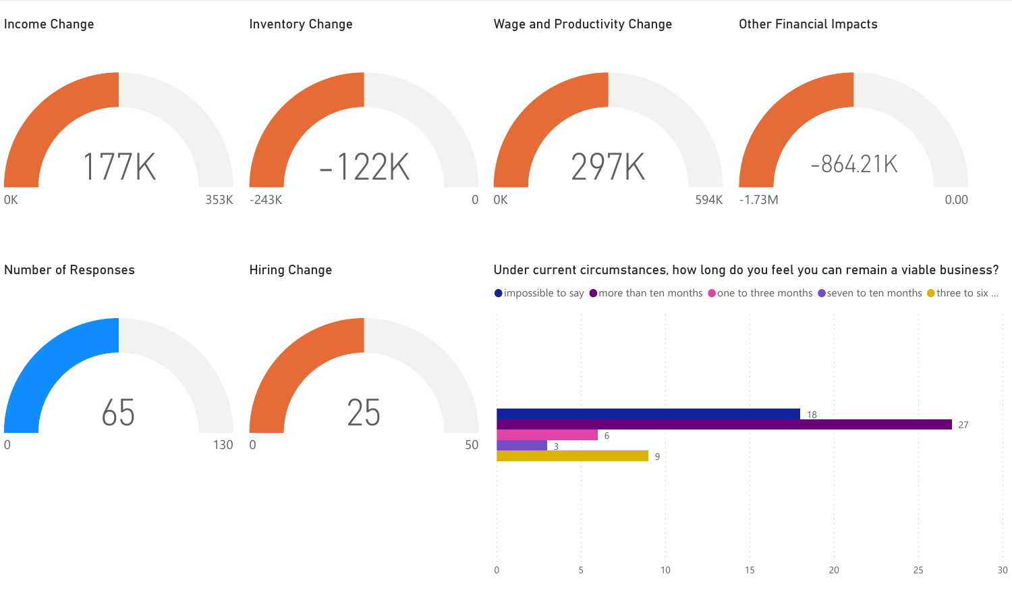